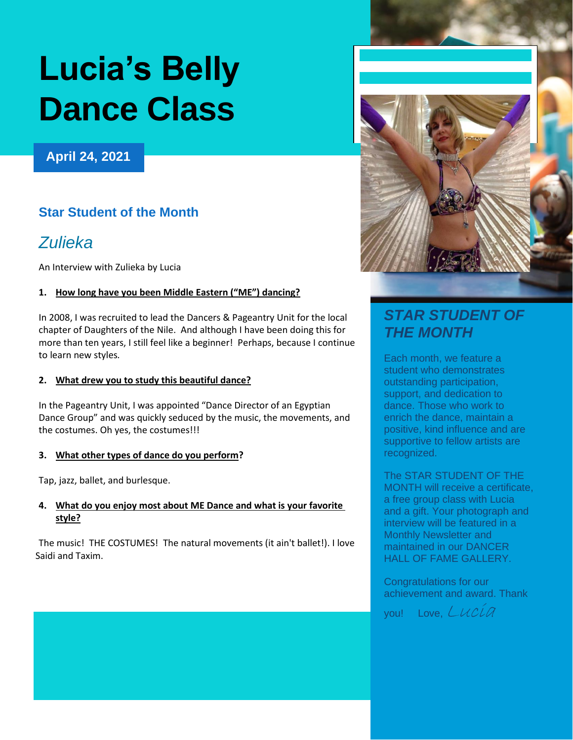# **Lucia's Belly Dance Class**

## **April 24, 2021**

# **Star Student of the Month**

# *Zulieka*

An Interview with Zulieka by Lucia

## **1. How long have you been Middle Eastern ("ME") dancing?**

In 2008, I was recruited to lead the Dancers & Pageantry Unit for the local chapter of Daughters of the Nile. And although I have been doing this for more than ten years, I still feel like a beginner! Perhaps, because I continue to learn new styles*.*

### **2. What drew you to study this beautiful dance?**

In the Pageantry Unit, I was appointed "Dance Director of an Egyptian Dance Group" and was quickly seduced by the music, the movements, and the costumes. Oh yes, the costumes!!!

#### **3. What other types of dance do you perform?**

Tap, jazz, ballet, and burlesque.

#### **4. What do you enjoy most about ME Dance and what is your favorite style?**

The music! THE COSTUMES! The natural movements (it ain't ballet!). I love Saidi and Taxim.



# *STAR STUDENT OF THE MONTH*

Each month, we feature a student who demonstrates outstanding participation, support, and dedication to dance. Those who work to enrich the dance, maintain a positive, kind influence and are supportive to fellow artists are recognized.

The STAR STUDENT OF THE MONTH will receive a certificate, a free group class with Lucia and a gift. Your photograph and interview will be featured in a Monthly Newsletter and maintained in our DANCER HALL OF FAME GALLERY.

Congratulations for our achievement and award. Thank

vou! Love, Lucia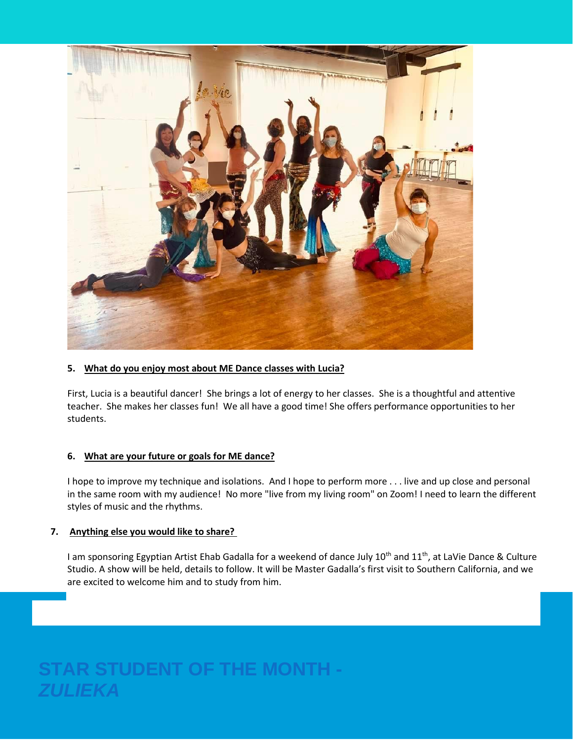

#### **5. What do you enjoy most about ME Dance classes with Lucia?**

First, Lucia is a beautiful dancer! She brings a lot of energy to her classes. She is a thoughtful and attentive teacher. She makes her classes fun! We all have a good time! She offers performance opportunities to her students.

#### **6. What are your future or goals for ME dance?**

I hope to improve my technique and isolations. And I hope to perform more . . . live and up close and personal in the same room with my audience! No more "live from my living room" on Zoom! I need to learn the different styles of music and the rhythms.

#### **7. Anything else you would like to share?**

I am sponsoring Egyptian Artist Ehab Gadalla for a weekend of dance July 10<sup>th</sup> and 11<sup>th</sup>, at LaVie Dance & Culture Studio. A show will be held, details to follow. It will be Master Gadalla's first visit to Southern California, and we are excited to welcome him and to study from him.

# **STAR STUDENT OF THE MONTH -** *ZULIEKA*